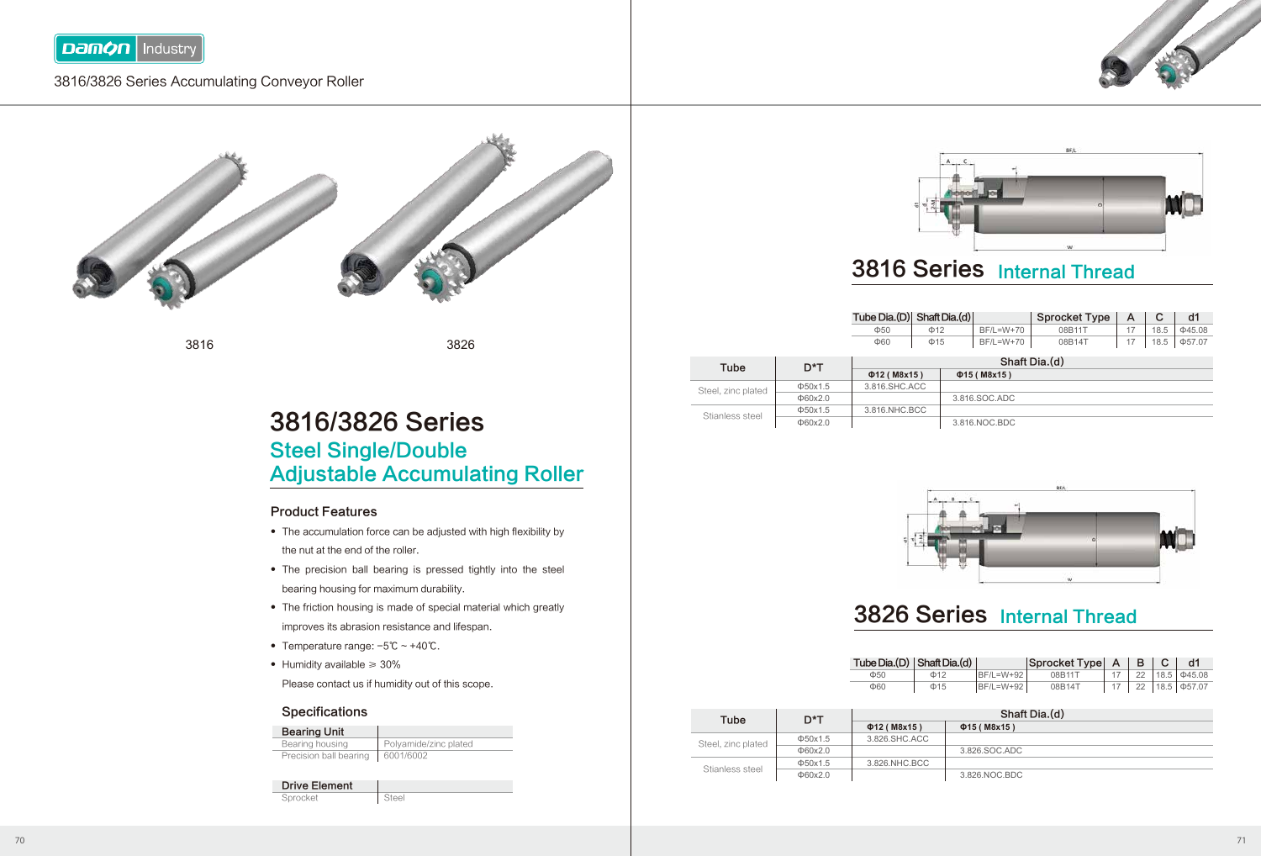

### 3816/3826 Series Accumulating Conveyor Roller



3816 3826

## 3816/3826 Series Steel Single/Double Adjustable Accumulating Roller

#### Product Features

- The accumulation force can be adjusted with high flexibility by the nut at the end of the roller.
- The precision ball bearing is pressed tightly into the steel bearing housing for maximum durability.
- The friction housing is made of special material which greatly improves its abrasion resistance and lifespan.
- Temperature range: -5℃ ~ +40℃. ●
- Humidity available ≥ 30% ●

Please contact us if humidity out of this scope.

#### **Specifications**

| <b>Bearing Unit</b>    |                       |
|------------------------|-----------------------|
| Bearing housing        | Polyamide/zinc plated |
| Precision ball bearing | 6001/6002             |
| <b>Drive Element</b>   |                       |

| Sprocket | Steel |
|----------|-------|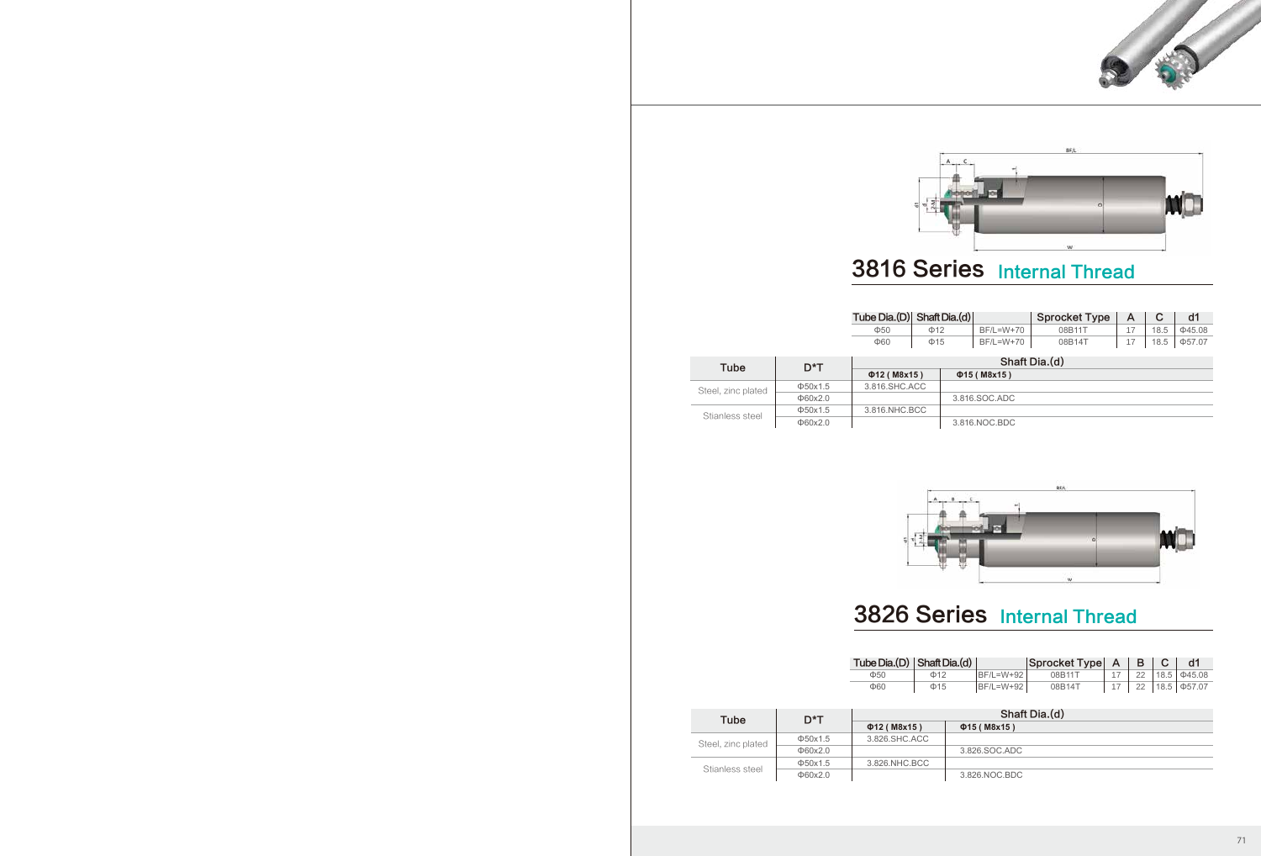



## 3816 Series Internal Thread

|                    |               | Tube Dia.(D) Shaft Dia.(d) |           |  |                   | <b>Sprocket Type</b> | A  | С    | d1           |
|--------------------|---------------|----------------------------|-----------|--|-------------------|----------------------|----|------|--------------|
|                    |               | $\Phi$ 50                  | $\Phi$ 12 |  | BF/L=W+70         | 08B11T               | 17 | 18.5 | $\Phi$ 45.08 |
|                    |               | $\Phi$ 60                  | $\Phi$ 15 |  | BF/L=W+70         | 08B14T               | 17 | 18.5 | $\Phi$ 57.07 |
| Tube               | $D^*T$        | Shaft Dia.(d)              |           |  |                   |                      |    |      |              |
|                    |               | $\Phi$ 12 (M8x15)          |           |  | $\Phi$ 15 (M8x15) |                      |    |      |              |
| Steel, zinc plated | $\Phi$ 50x1.5 | 3.816.SHC.ACC              |           |  |                   |                      |    |      |              |
|                    | $\Phi$ 60x2.0 |                            |           |  | 3.816.SOC.ADC     |                      |    |      |              |
| Stianless steel    | $\Phi$ 50x1.5 | 3.816.NHC.BCC              |           |  |                   |                      |    |      |              |
|                    | $\Phi$ 60x2.0 |                            |           |  | 3.816.NOC.BDC     |                      |    |      |              |



# 3826 Series Internal Thread

| Tube Dia. $(D)$ Shaft Dia. $(d)$ |           |            | $ $ Sprocket Type $ A $ B |     |                                |
|----------------------------------|-----------|------------|---------------------------|-----|--------------------------------|
| $\Phi$ 50                        | $\Phi$ 12 | IBF/L=W+92 | 08B11T                    |     | $22 \mid 18.5 \mid \Phi 45.08$ |
| Ф60                              | $\Phi$ 15 | BF/L=W+92  | 08B14T                    | 22. | 18.5   $\Phi$ 57.07            |

| Tube               | D*T           | Shaft Dia.(d)     |                   |  |  |
|--------------------|---------------|-------------------|-------------------|--|--|
|                    |               | $\Phi$ 12 (M8x15) | $\Phi$ 15 (M8x15) |  |  |
| Steel, zinc plated | $\Phi$ 50x1.5 | 3.826.SHC.ACC     |                   |  |  |
|                    | $\Phi$ 60x2.0 |                   | 3.826.SOC.ADC     |  |  |
|                    | $\Phi$ 50x1.5 | 3.826.NHC.BCC     |                   |  |  |
| Stianless steel    | $\Phi$ 60x2.0 |                   | 3.826.NOC.BDC     |  |  |